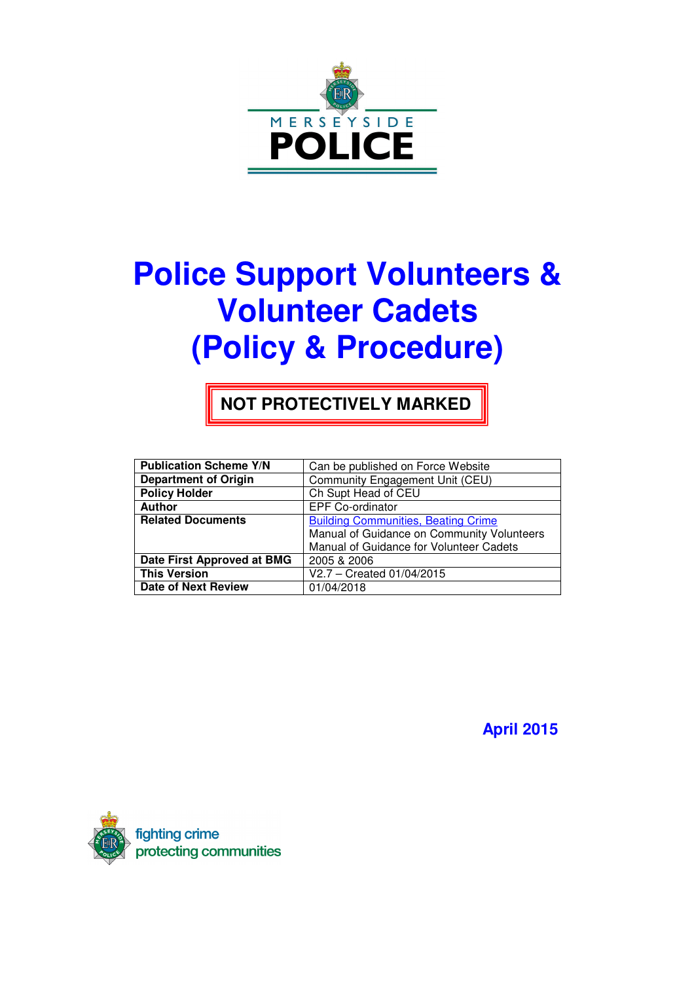

# **Police Support Volunteers & Volunteer Cadets (Policy & Procedure)**

**NOT PROTECTIVELY MARKED** 

| <b>Publication Scheme Y/N</b> | Can be published on Force Website          |
|-------------------------------|--------------------------------------------|
| <b>Department of Origin</b>   | Community Engagement Unit (CEU)            |
| <b>Policy Holder</b>          | Ch Supt Head of CEU                        |
| <b>Author</b>                 | <b>EPF Co-ordinator</b>                    |
| <b>Related Documents</b>      | <b>Building Communities, Beating Crime</b> |
|                               | Manual of Guidance on Community Volunteers |
|                               | Manual of Guidance for Volunteer Cadets    |
| Date First Approved at BMG    | 2005 & 2006                                |
| <b>This Version</b>           | V2.7 - Created 01/04/2015                  |
| <b>Date of Next Review</b>    | 01/04/2018                                 |

 **April 2015** 

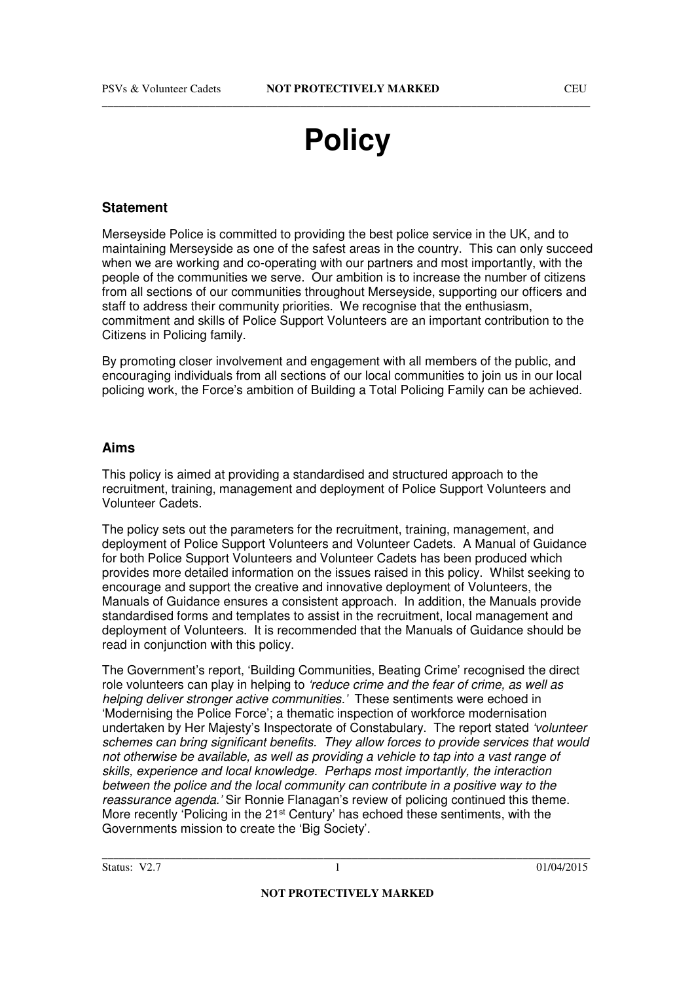## **Policy**

#### **Statement**

Merseyside Police is committed to providing the best police service in the UK, and to maintaining Merseyside as one of the safest areas in the country. This can only succeed when we are working and co-operating with our partners and most importantly, with the people of the communities we serve. Our ambition is to increase the number of citizens from all sections of our communities throughout Merseyside, supporting our officers and staff to address their community priorities. We recognise that the enthusiasm, commitment and skills of Police Support Volunteers are an important contribution to the Citizens in Policing family.

By promoting closer involvement and engagement with all members of the public, and encouraging individuals from all sections of our local communities to join us in our local policing work, the Force's ambition of Building a Total Policing Family can be achieved.

#### **Aims**

This policy is aimed at providing a standardised and structured approach to the recruitment, training, management and deployment of Police Support Volunteers and Volunteer Cadets.

The policy sets out the parameters for the recruitment, training, management, and deployment of Police Support Volunteers and Volunteer Cadets. A Manual of Guidance for both Police Support Volunteers and Volunteer Cadets has been produced which provides more detailed information on the issues raised in this policy. Whilst seeking to encourage and support the creative and innovative deployment of Volunteers, the Manuals of Guidance ensures a consistent approach. In addition, the Manuals provide standardised forms and templates to assist in the recruitment, local management and deployment of Volunteers. It is recommended that the Manuals of Guidance should be read in conjunction with this policy.

The Government's report, 'Building Communities, Beating Crime' recognised the direct role volunteers can play in helping to 'reduce crime and the fear of crime, as well as helping deliver stronger active communities.' These sentiments were echoed in 'Modernising the Police Force'; a thematic inspection of workforce modernisation undertaken by Her Majesty's Inspectorate of Constabulary. The report stated 'volunteer schemes can bring significant benefits. They allow forces to provide services that would not otherwise be available, as well as providing a vehicle to tap into a vast range of skills, experience and local knowledge. Perhaps most importantly, the interaction between the police and the local community can contribute in a positive way to the reassurance agenda.' Sir Ronnie Flanagan's review of policing continued this theme. More recently 'Policing in the 21st Century' has echoed these sentiments, with the Governments mission to create the 'Big Society'.

**NOT PROTECTIVELY MARKED**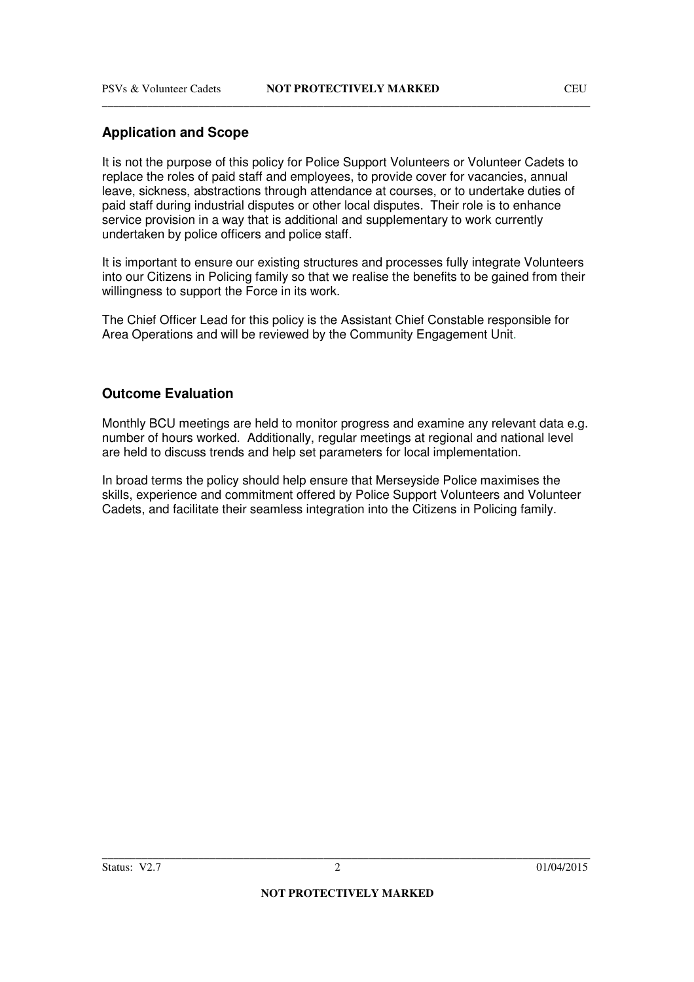## **Application and Scope**

It is not the purpose of this policy for Police Support Volunteers or Volunteer Cadets to replace the roles of paid staff and employees, to provide cover for vacancies, annual leave, sickness, abstractions through attendance at courses, or to undertake duties of paid staff during industrial disputes or other local disputes. Their role is to enhance service provision in a way that is additional and supplementary to work currently undertaken by police officers and police staff.

It is important to ensure our existing structures and processes fully integrate Volunteers into our Citizens in Policing family so that we realise the benefits to be gained from their willingness to support the Force in its work.

The Chief Officer Lead for this policy is the Assistant Chief Constable responsible for Area Operations and will be reviewed by the Community Engagement Unit.

#### **Outcome Evaluation**

Monthly BCU meetings are held to monitor progress and examine any relevant data e.g. number of hours worked. Additionally, regular meetings at regional and national level are held to discuss trends and help set parameters for local implementation.

In broad terms the policy should help ensure that Merseyside Police maximises the skills, experience and commitment offered by Police Support Volunteers and Volunteer Cadets, and facilitate their seamless integration into the Citizens in Policing family.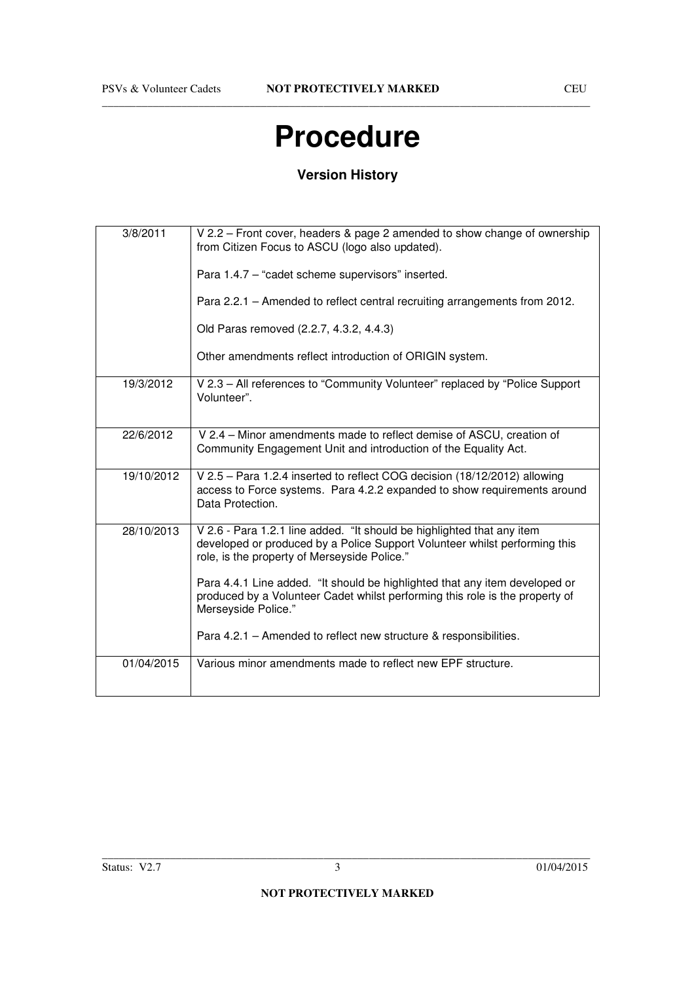## **Procedure**

## **Version History**

| 3/8/2011   | V 2.2 – Front cover, headers & page 2 amended to show change of ownership<br>from Citizen Focus to ASCU (logo also updated).                                                                         |
|------------|------------------------------------------------------------------------------------------------------------------------------------------------------------------------------------------------------|
|            | Para 1.4.7 - "cadet scheme supervisors" inserted.                                                                                                                                                    |
|            | Para 2.2.1 - Amended to reflect central recruiting arrangements from 2012.                                                                                                                           |
|            | Old Paras removed (2.2.7, 4.3.2, 4.4.3)                                                                                                                                                              |
|            | Other amendments reflect introduction of ORIGIN system.                                                                                                                                              |
| 19/3/2012  | V 2.3 - All references to "Community Volunteer" replaced by "Police Support<br>Volunteer".                                                                                                           |
| 22/6/2012  | V 2.4 – Minor amendments made to reflect demise of ASCU, creation of<br>Community Engagement Unit and introduction of the Equality Act.                                                              |
| 19/10/2012 | V 2.5 - Para 1.2.4 inserted to reflect COG decision (18/12/2012) allowing<br>access to Force systems. Para 4.2.2 expanded to show requirements around<br>Data Protection.                            |
| 28/10/2013 | V 2.6 - Para 1.2.1 line added. "It should be highlighted that any item<br>developed or produced by a Police Support Volunteer whilst performing this<br>role, is the property of Merseyside Police." |
|            | Para 4.4.1 Line added. "It should be highlighted that any item developed or<br>produced by a Volunteer Cadet whilst performing this role is the property of<br>Merseyside Police."                   |
|            | Para 4.2.1 – Amended to reflect new structure & responsibilities.                                                                                                                                    |
| 01/04/2015 | Various minor amendments made to reflect new EPF structure.                                                                                                                                          |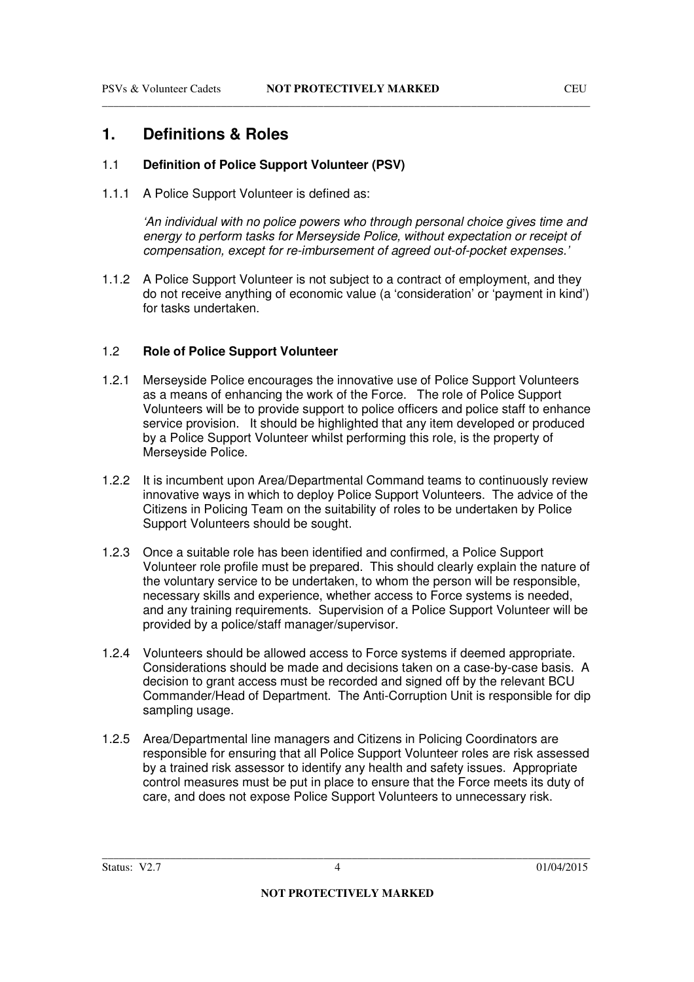## **1. Definitions & Roles**

#### 1.1 **Definition of Police Support Volunteer (PSV)**

1.1.1 A Police Support Volunteer is defined as:

'An individual with no police powers who through personal choice gives time and energy to perform tasks for Merseyside Police, without expectation or receipt of compensation, except for re-imbursement of agreed out-of-pocket expenses.'

1.1.2 A Police Support Volunteer is not subject to a contract of employment, and they do not receive anything of economic value (a 'consideration' or 'payment in kind') for tasks undertaken.

#### 1.2 **Role of Police Support Volunteer**

- 1.2.1 Merseyside Police encourages the innovative use of Police Support Volunteers as a means of enhancing the work of the Force. The role of Police Support Volunteers will be to provide support to police officers and police staff to enhance service provision. It should be highlighted that any item developed or produced by a Police Support Volunteer whilst performing this role, is the property of Merseyside Police.
- 1.2.2 It is incumbent upon Area/Departmental Command teams to continuously review innovative ways in which to deploy Police Support Volunteers. The advice of the Citizens in Policing Team on the suitability of roles to be undertaken by Police Support Volunteers should be sought.
- 1.2.3 Once a suitable role has been identified and confirmed, a Police Support Volunteer role profile must be prepared. This should clearly explain the nature of the voluntary service to be undertaken, to whom the person will be responsible, necessary skills and experience, whether access to Force systems is needed, and any training requirements. Supervision of a Police Support Volunteer will be provided by a police/staff manager/supervisor.
- 1.2.4 Volunteers should be allowed access to Force systems if deemed appropriate. Considerations should be made and decisions taken on a case-by-case basis. A decision to grant access must be recorded and signed off by the relevant BCU Commander/Head of Department. The Anti-Corruption Unit is responsible for dip sampling usage.
- 1.2.5 Area/Departmental line managers and Citizens in Policing Coordinators are responsible for ensuring that all Police Support Volunteer roles are risk assessed by a trained risk assessor to identify any health and safety issues. Appropriate control measures must be put in place to ensure that the Force meets its duty of care, and does not expose Police Support Volunteers to unnecessary risk.

Status: V2.7 4 01/04/2015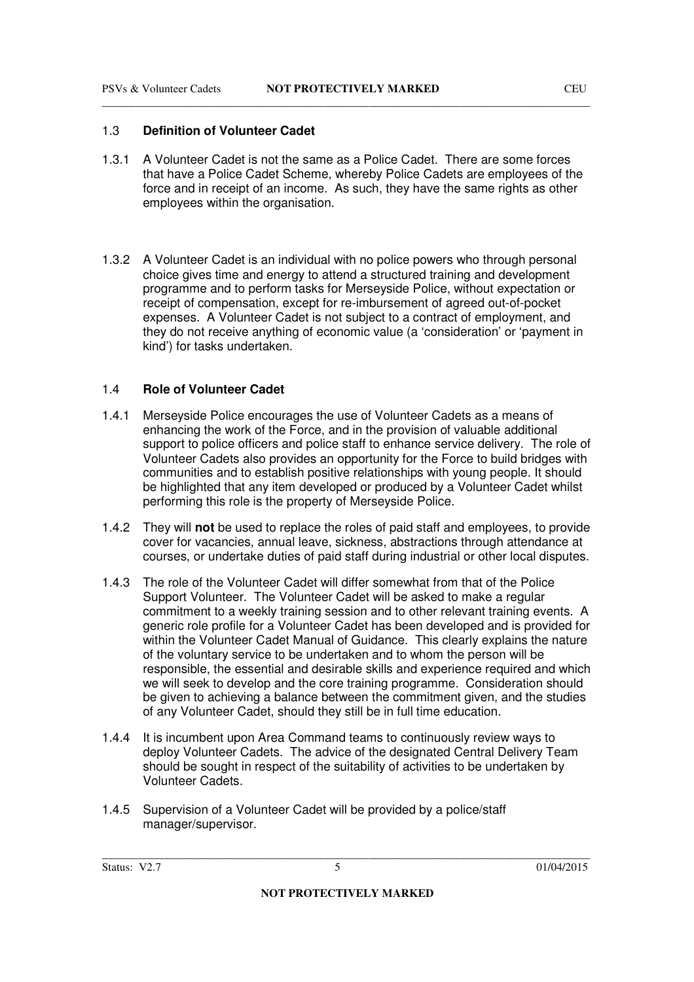#### 1.3 **Definition of Volunteer Cadet**

- 1.3.1 A Volunteer Cadet is not the same as a Police Cadet. There are some forces that have a Police Cadet Scheme, whereby Police Cadets are employees of the force and in receipt of an income. As such, they have the same rights as other employees within the organisation.
- 1.3.2 A Volunteer Cadet is an individual with no police powers who through personal choice gives time and energy to attend a structured training and development programme and to perform tasks for Merseyside Police, without expectation or receipt of compensation, except for re-imbursement of agreed out-of-pocket expenses. A Volunteer Cadet is not subject to a contract of employment, and they do not receive anything of economic value (a 'consideration' or 'payment in kind') for tasks undertaken.

#### 1.4 **Role of Volunteer Cadet**

- 1.4.1 Merseyside Police encourages the use of Volunteer Cadets as a means of enhancing the work of the Force, and in the provision of valuable additional support to police officers and police staff to enhance service delivery. The role of Volunteer Cadets also provides an opportunity for the Force to build bridges with communities and to establish positive relationships with young people. It should be highlighted that any item developed or produced by a Volunteer Cadet whilst performing this role is the property of Merseyside Police.
- 1.4.2 They will **not** be used to replace the roles of paid staff and employees, to provide cover for vacancies, annual leave, sickness, abstractions through attendance at courses, or undertake duties of paid staff during industrial or other local disputes.
- 1.4.3 The role of the Volunteer Cadet will differ somewhat from that of the Police Support Volunteer. The Volunteer Cadet will be asked to make a regular commitment to a weekly training session and to other relevant training events. A generic role profile for a Volunteer Cadet has been developed and is provided for within the Volunteer Cadet Manual of Guidance. This clearly explains the nature of the voluntary service to be undertaken and to whom the person will be responsible, the essential and desirable skills and experience required and which we will seek to develop and the core training programme. Consideration should be given to achieving a balance between the commitment given, and the studies of any Volunteer Cadet, should they still be in full time education.
- 1.4.4 It is incumbent upon Area Command teams to continuously review ways to deploy Volunteer Cadets. The advice of the designated Central Delivery Team should be sought in respect of the suitability of activities to be undertaken by Volunteer Cadets.
- 1.4.5 Supervision of a Volunteer Cadet will be provided by a police/staff manager/supervisor.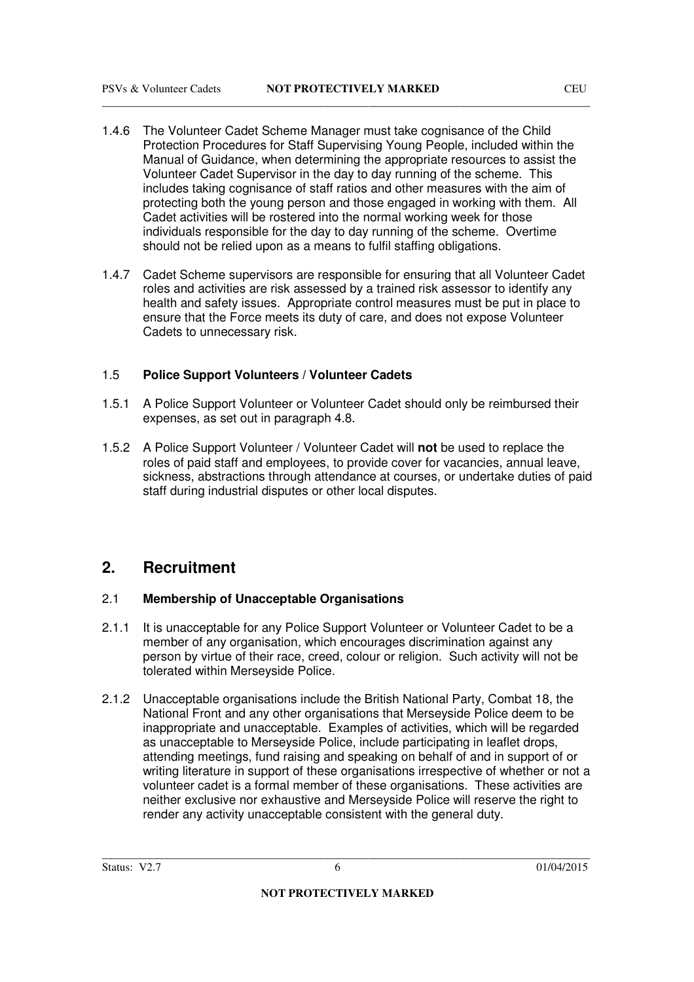- 1.4.6 The Volunteer Cadet Scheme Manager must take cognisance of the Child Protection Procedures for Staff Supervising Young People, included within the Manual of Guidance, when determining the appropriate resources to assist the Volunteer Cadet Supervisor in the day to day running of the scheme. This includes taking cognisance of staff ratios and other measures with the aim of protecting both the young person and those engaged in working with them. All Cadet activities will be rostered into the normal working week for those individuals responsible for the day to day running of the scheme. Overtime should not be relied upon as a means to fulfil staffing obligations.
- 1.4.7 Cadet Scheme supervisors are responsible for ensuring that all Volunteer Cadet roles and activities are risk assessed by a trained risk assessor to identify any health and safety issues. Appropriate control measures must be put in place to ensure that the Force meets its duty of care, and does not expose Volunteer Cadets to unnecessary risk.

#### 1.5 **Police Support Volunteers / Volunteer Cadets**

- 1.5.1 A Police Support Volunteer or Volunteer Cadet should only be reimbursed their expenses, as set out in paragraph 4.8.
- 1.5.2 A Police Support Volunteer / Volunteer Cadet will **not** be used to replace the roles of paid staff and employees, to provide cover for vacancies, annual leave, sickness, abstractions through attendance at courses, or undertake duties of paid staff during industrial disputes or other local disputes.

### **2. Recruitment**

#### 2.1 **Membership of Unacceptable Organisations**

- 2.1.1 It is unacceptable for any Police Support Volunteer or Volunteer Cadet to be a member of any organisation, which encourages discrimination against any person by virtue of their race, creed, colour or religion. Such activity will not be tolerated within Merseyside Police.
- 2.1.2 Unacceptable organisations include the British National Party, Combat 18, the National Front and any other organisations that Merseyside Police deem to be inappropriate and unacceptable. Examples of activities, which will be regarded as unacceptable to Merseyside Police, include participating in leaflet drops, attending meetings, fund raising and speaking on behalf of and in support of or writing literature in support of these organisations irrespective of whether or not a volunteer cadet is a formal member of these organisations. These activities are neither exclusive nor exhaustive and Merseyside Police will reserve the right to render any activity unacceptable consistent with the general duty.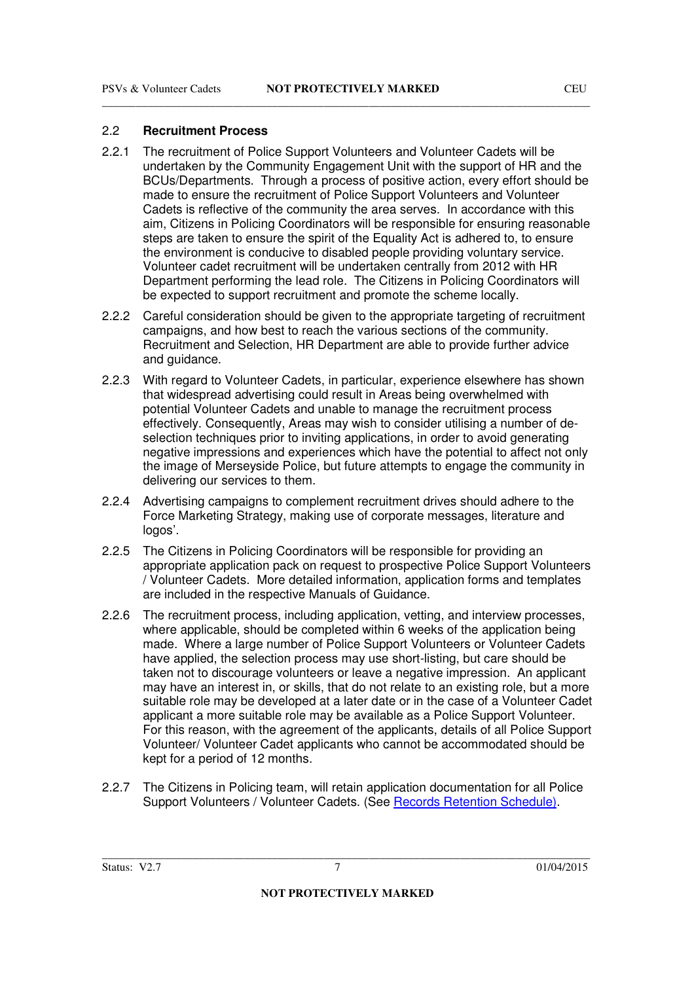#### 2.2 **Recruitment Process**

2.2.1 The recruitment of Police Support Volunteers and Volunteer Cadets will be undertaken by the Community Engagement Unit with the support of HR and the BCUs/Departments. Through a process of positive action, every effort should be made to ensure the recruitment of Police Support Volunteers and Volunteer Cadets is reflective of the community the area serves. In accordance with this aim, Citizens in Policing Coordinators will be responsible for ensuring reasonable steps are taken to ensure the spirit of the Equality Act is adhered to, to ensure the environment is conducive to disabled people providing voluntary service. Volunteer cadet recruitment will be undertaken centrally from 2012 with HR Department performing the lead role. The Citizens in Policing Coordinators will be expected to support recruitment and promote the scheme locally.

\_\_\_\_\_\_\_\_\_\_\_\_\_\_\_\_\_\_\_\_\_\_\_\_\_\_\_\_\_\_\_\_\_\_\_\_\_\_\_\_\_\_\_\_\_\_\_\_\_\_\_\_\_\_\_\_\_\_\_\_\_\_\_\_\_\_\_\_\_\_\_\_\_\_\_\_\_\_\_\_\_\_\_\_\_\_

- 2.2.2 Careful consideration should be given to the appropriate targeting of recruitment campaigns, and how best to reach the various sections of the community. Recruitment and Selection, HR Department are able to provide further advice and guidance.
- 2.2.3 With regard to Volunteer Cadets, in particular, experience elsewhere has shown that widespread advertising could result in Areas being overwhelmed with potential Volunteer Cadets and unable to manage the recruitment process effectively. Consequently, Areas may wish to consider utilising a number of deselection techniques prior to inviting applications, in order to avoid generating negative impressions and experiences which have the potential to affect not only the image of Merseyside Police, but future attempts to engage the community in delivering our services to them.
- 2.2.4 Advertising campaigns to complement recruitment drives should adhere to the Force Marketing Strategy, making use of corporate messages, literature and logos'.
- 2.2.5 The Citizens in Policing Coordinators will be responsible for providing an appropriate application pack on request to prospective Police Support Volunteers / Volunteer Cadets. More detailed information, application forms and templates are included in the respective Manuals of Guidance.
- 2.2.6 The recruitment process, including application, vetting, and interview processes, where applicable, should be completed within 6 weeks of the application being made. Where a large number of Police Support Volunteers or Volunteer Cadets have applied, the selection process may use short-listing, but care should be taken not to discourage volunteers or leave a negative impression. An applicant may have an interest in, or skills, that do not relate to an existing role, but a more suitable role may be developed at a later date or in the case of a Volunteer Cadet applicant a more suitable role may be available as a Police Support Volunteer. For this reason, with the agreement of the applicants, details of all Police Support Volunteer/ Volunteer Cadet applicants who cannot be accommodated should be kept for a period of 12 months.
- 2.2.7 The Citizens in Policing team, will retain application documentation for all Police Support Volunteers / Volunteer Cadets. (See Records Retention Schedule).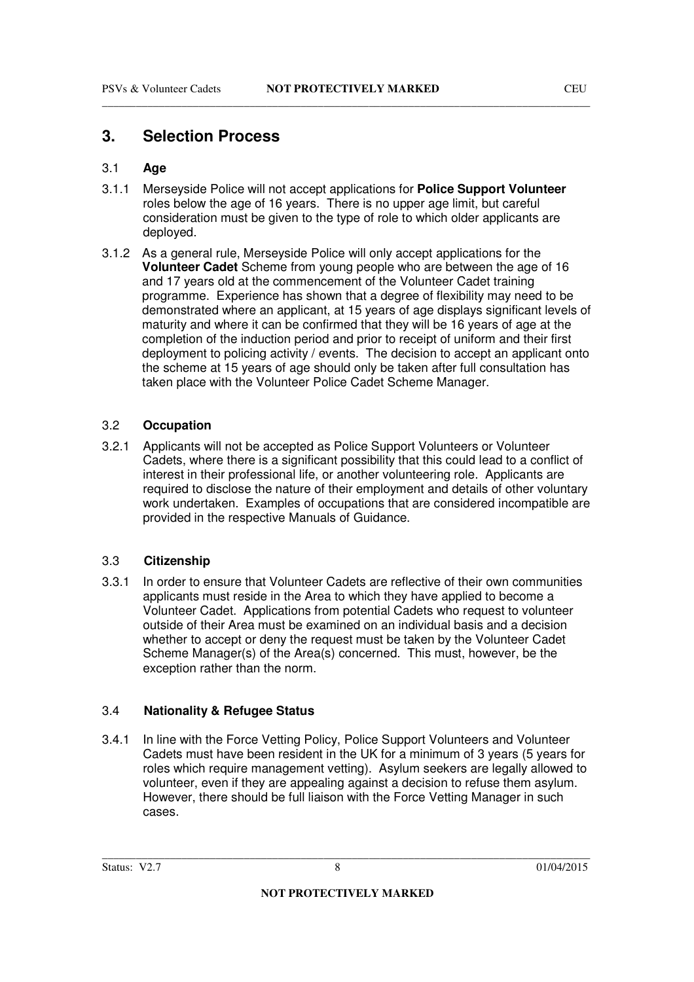## **3. Selection Process**

#### 3.1 **Age**

3.1.1 Merseyside Police will not accept applications for **Police Support Volunteer**  roles below the age of 16 years. There is no upper age limit, but careful consideration must be given to the type of role to which older applicants are deployed.

\_\_\_\_\_\_\_\_\_\_\_\_\_\_\_\_\_\_\_\_\_\_\_\_\_\_\_\_\_\_\_\_\_\_\_\_\_\_\_\_\_\_\_\_\_\_\_\_\_\_\_\_\_\_\_\_\_\_\_\_\_\_\_\_\_\_\_\_\_\_\_\_\_\_\_\_\_\_\_\_\_\_\_\_\_\_

3.1.2 As a general rule, Merseyside Police will only accept applications for the **Volunteer Cadet** Scheme from young people who are between the age of 16 and 17 years old at the commencement of the Volunteer Cadet training programme. Experience has shown that a degree of flexibility may need to be demonstrated where an applicant, at 15 years of age displays significant levels of maturity and where it can be confirmed that they will be 16 years of age at the completion of the induction period and prior to receipt of uniform and their first deployment to policing activity / events. The decision to accept an applicant onto the scheme at 15 years of age should only be taken after full consultation has taken place with the Volunteer Police Cadet Scheme Manager.

#### 3.2 **Occupation**

3.2.1 Applicants will not be accepted as Police Support Volunteers or Volunteer Cadets, where there is a significant possibility that this could lead to a conflict of interest in their professional life, or another volunteering role. Applicants are required to disclose the nature of their employment and details of other voluntary work undertaken. Examples of occupations that are considered incompatible are provided in the respective Manuals of Guidance.

#### 3.3 **Citizenship**

3.3.1 In order to ensure that Volunteer Cadets are reflective of their own communities applicants must reside in the Area to which they have applied to become a Volunteer Cadet. Applications from potential Cadets who request to volunteer outside of their Area must be examined on an individual basis and a decision whether to accept or deny the request must be taken by the Volunteer Cadet Scheme Manager(s) of the Area(s) concerned. This must, however, be the exception rather than the norm.

#### 3.4 **Nationality & Refugee Status**

3.4.1 In line with the Force Vetting Policy, Police Support Volunteers and Volunteer Cadets must have been resident in the UK for a minimum of 3 years (5 years for roles which require management vetting). Asylum seekers are legally allowed to volunteer, even if they are appealing against a decision to refuse them asylum. However, there should be full liaison with the Force Vetting Manager in such cases.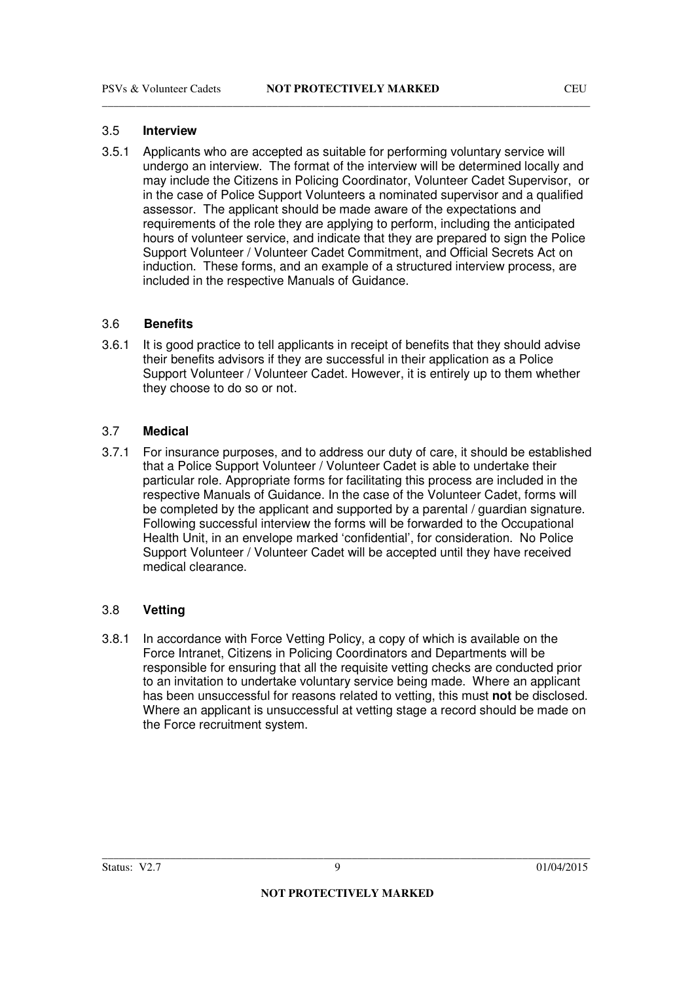#### 3.5 **Interview**

3.5.1 Applicants who are accepted as suitable for performing voluntary service will undergo an interview. The format of the interview will be determined locally and may include the Citizens in Policing Coordinator, Volunteer Cadet Supervisor, or in the case of Police Support Volunteers a nominated supervisor and a qualified assessor. The applicant should be made aware of the expectations and requirements of the role they are applying to perform, including the anticipated hours of volunteer service, and indicate that they are prepared to sign the Police Support Volunteer / Volunteer Cadet Commitment, and Official Secrets Act on induction. These forms, and an example of a structured interview process, are included in the respective Manuals of Guidance.

#### 3.6 **Benefits**

3.6.1 It is good practice to tell applicants in receipt of benefits that they should advise their benefits advisors if they are successful in their application as a Police Support Volunteer / Volunteer Cadet. However, it is entirely up to them whether they choose to do so or not.

#### 3.7 **Medical**

3.7.1 For insurance purposes, and to address our duty of care, it should be established that a Police Support Volunteer / Volunteer Cadet is able to undertake their particular role. Appropriate forms for facilitating this process are included in the respective Manuals of Guidance. In the case of the Volunteer Cadet, forms will be completed by the applicant and supported by a parental / guardian signature. Following successful interview the forms will be forwarded to the Occupational Health Unit, in an envelope marked 'confidential', for consideration. No Police Support Volunteer / Volunteer Cadet will be accepted until they have received medical clearance.

#### 3.8 **Vetting**

3.8.1 In accordance with Force Vetting Policy, a copy of which is available on the Force Intranet, Citizens in Policing Coordinators and Departments will be responsible for ensuring that all the requisite vetting checks are conducted prior to an invitation to undertake voluntary service being made. Where an applicant has been unsuccessful for reasons related to vetting, this must **not** be disclosed. Where an applicant is unsuccessful at vetting stage a record should be made on the Force recruitment system.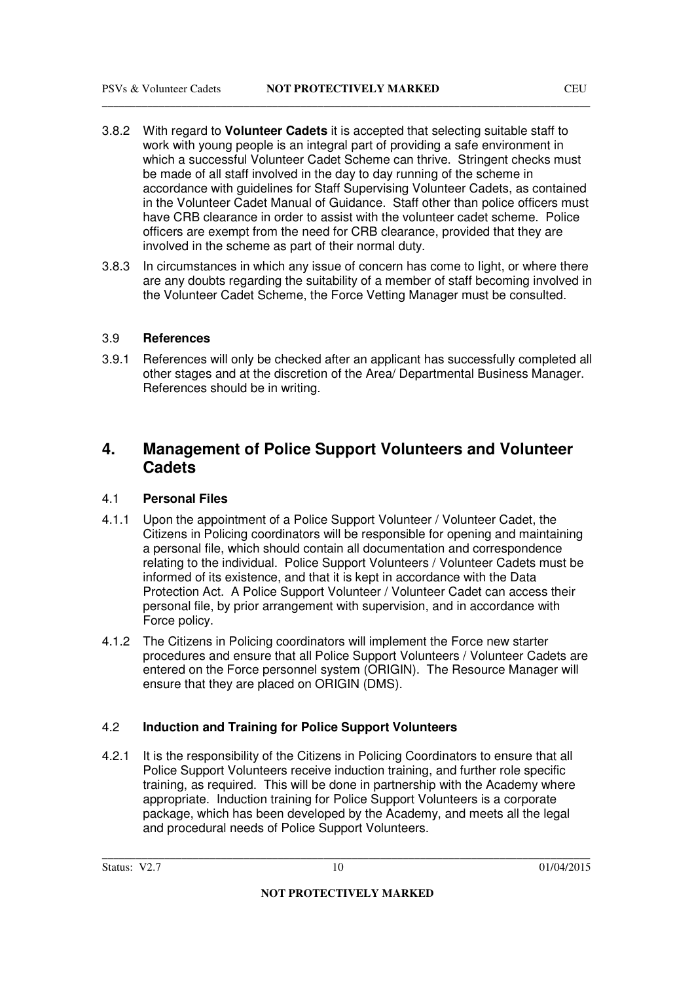- 3.8.2 With regard to **Volunteer Cadets** it is accepted that selecting suitable staff to work with young people is an integral part of providing a safe environment in which a successful Volunteer Cadet Scheme can thrive. Stringent checks must be made of all staff involved in the day to day running of the scheme in accordance with guidelines for Staff Supervising Volunteer Cadets, as contained in the Volunteer Cadet Manual of Guidance. Staff other than police officers must have CRB clearance in order to assist with the volunteer cadet scheme. Police officers are exempt from the need for CRB clearance, provided that they are involved in the scheme as part of their normal duty.
- 3.8.3 In circumstances in which any issue of concern has come to light, or where there are any doubts regarding the suitability of a member of staff becoming involved in the Volunteer Cadet Scheme, the Force Vetting Manager must be consulted.

#### 3.9 **References**

3.9.1 References will only be checked after an applicant has successfully completed all other stages and at the discretion of the Area/ Departmental Business Manager. References should be in writing.

## **4. Management of Police Support Volunteers and Volunteer Cadets**

#### 4.1 **Personal Files**

- 4.1.1 Upon the appointment of a Police Support Volunteer / Volunteer Cadet, the Citizens in Policing coordinators will be responsible for opening and maintaining a personal file, which should contain all documentation and correspondence relating to the individual. Police Support Volunteers / Volunteer Cadets must be informed of its existence, and that it is kept in accordance with the Data Protection Act. A Police Support Volunteer / Volunteer Cadet can access their personal file, by prior arrangement with supervision, and in accordance with Force policy.
- 4.1.2 The Citizens in Policing coordinators will implement the Force new starter procedures and ensure that all Police Support Volunteers / Volunteer Cadets are entered on the Force personnel system (ORIGIN). The Resource Manager will ensure that they are placed on ORIGIN (DMS).

#### 4.2 **Induction and Training for Police Support Volunteers**

4.2.1 It is the responsibility of the Citizens in Policing Coordinators to ensure that all Police Support Volunteers receive induction training, and further role specific training, as required. This will be done in partnership with the Academy where appropriate. Induction training for Police Support Volunteers is a corporate package, which has been developed by the Academy, and meets all the legal and procedural needs of Police Support Volunteers.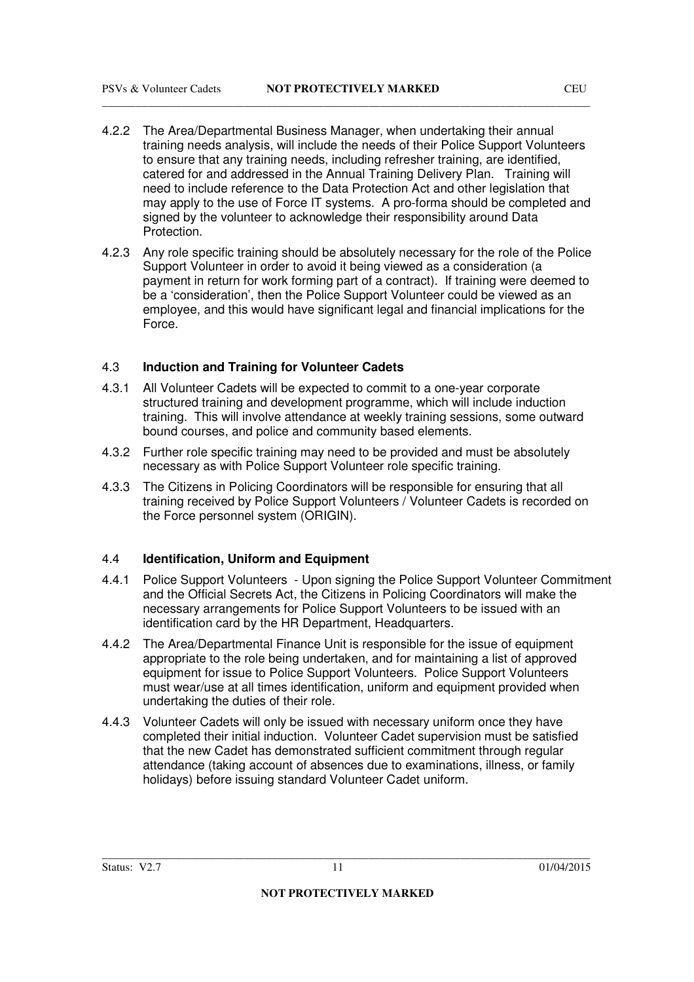- 4.2.2 The Area/Departmental Business Manager, when undertaking their annual training needs analysis, will include the needs of their Police Support Volunteers to ensure that any training needs, including refresher training, are identified, catered for and addressed in the Annual Training Delivery Plan. Training will need to include reference to the Data Protection Act and other legislation that may apply to the use of Force IT systems. A pro-forma should be completed and signed by the volunteer to acknowledge their responsibility around Data Protection.
- 4.2.3 Any role specific training should be absolutely necessary for the role of the Police Support Volunteer in order to avoid it being viewed as a consideration (a payment in return for work forming part of a contract). If training were deemed to be a 'consideration', then the Police Support Volunteer could be viewed as an employee, and this would have significant legal and financial implications for the Force.

#### 4.3 **Induction and Training for Volunteer Cadets**

- 4.3.1 All Volunteer Cadets will be expected to commit to a one-year corporate structured training and development programme, which will include induction training. This will involve attendance at weekly training sessions, some outward bound courses, and police and community based elements.
- 4.3.2 Further role specific training may need to be provided and must be absolutely necessary as with Police Support Volunteer role specific training.
- 4.3.3 The Citizens in Policing Coordinators will be responsible for ensuring that all training received by Police Support Volunteers / Volunteer Cadets is recorded on the Force personnel system (ORIGIN).

#### 4.4 **Identification, Uniform and Equipment**

- 4.4.1 Police Support Volunteers Upon signing the Police Support Volunteer Commitment and the Official Secrets Act, the Citizens in Policing Coordinators will make the necessary arrangements for Police Support Volunteers to be issued with an identification card by the HR Department. Headquarters.
- 4.4.2 The Area/Departmental Finance Unit is responsible for the issue of equipment appropriate to the role being undertaken, and for maintaining a list of approved equipment for issue to Police Support Volunteers. Police Support Volunteers must wear/use at all times identification, uniform and equipment provided when undertaking the duties of their role.
- 4.4.3 Volunteer Cadets will only be issued with necessary uniform once they have completed their initial induction. Volunteer Cadet supervision must be satisfied that the new Cadet has demonstrated sufficient commitment through regular attendance (taking account of absences due to examinations, illness, or family holidays) before issuing standard Volunteer Cadet uniform.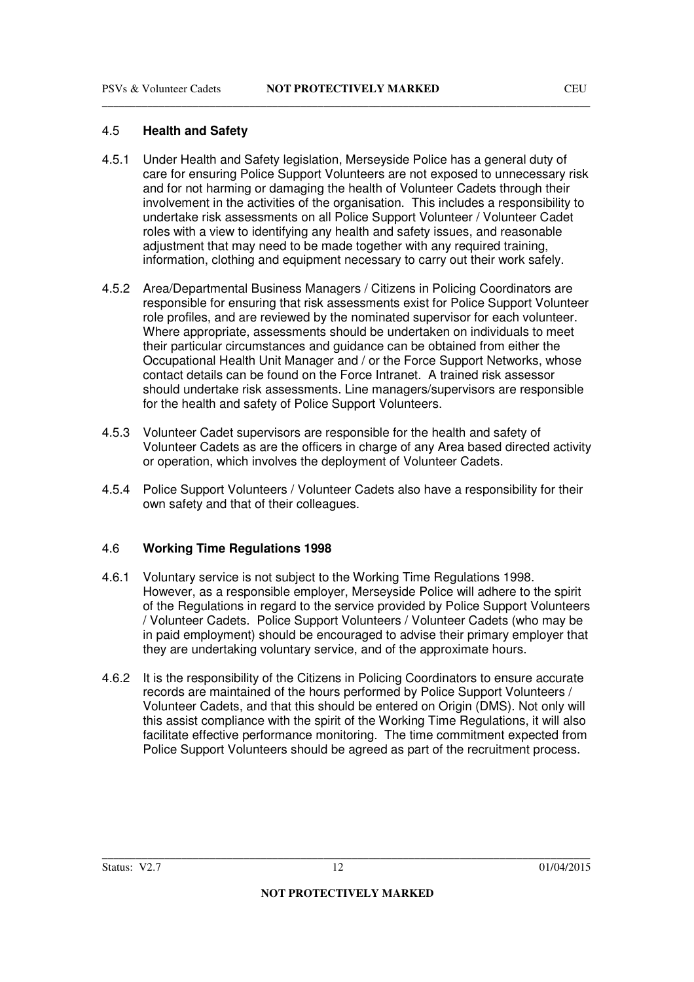#### 4.5 **Health and Safety**

4.5.1 Under Health and Safety legislation, Merseyside Police has a general duty of care for ensuring Police Support Volunteers are not exposed to unnecessary risk and for not harming or damaging the health of Volunteer Cadets through their involvement in the activities of the organisation. This includes a responsibility to undertake risk assessments on all Police Support Volunteer / Volunteer Cadet roles with a view to identifying any health and safety issues, and reasonable adjustment that may need to be made together with any required training, information, clothing and equipment necessary to carry out their work safely.

\_\_\_\_\_\_\_\_\_\_\_\_\_\_\_\_\_\_\_\_\_\_\_\_\_\_\_\_\_\_\_\_\_\_\_\_\_\_\_\_\_\_\_\_\_\_\_\_\_\_\_\_\_\_\_\_\_\_\_\_\_\_\_\_\_\_\_\_\_\_\_\_\_\_\_\_\_\_\_\_\_\_\_\_\_\_

- 4.5.2 Area/Departmental Business Managers / Citizens in Policing Coordinators are responsible for ensuring that risk assessments exist for Police Support Volunteer role profiles, and are reviewed by the nominated supervisor for each volunteer. Where appropriate, assessments should be undertaken on individuals to meet their particular circumstances and guidance can be obtained from either the Occupational Health Unit Manager and / or the Force Support Networks, whose contact details can be found on the Force Intranet. A trained risk assessor should undertake risk assessments. Line managers/supervisors are responsible for the health and safety of Police Support Volunteers.
- 4.5.3 Volunteer Cadet supervisors are responsible for the health and safety of Volunteer Cadets as are the officers in charge of any Area based directed activity or operation, which involves the deployment of Volunteer Cadets.
- 4.5.4 Police Support Volunteers / Volunteer Cadets also have a responsibility for their own safety and that of their colleagues.

#### 4.6 **Working Time Regulations 1998**

- 4.6.1 Voluntary service is not subject to the Working Time Regulations 1998. However, as a responsible employer, Merseyside Police will adhere to the spirit of the Regulations in regard to the service provided by Police Support Volunteers / Volunteer Cadets. Police Support Volunteers / Volunteer Cadets (who may be in paid employment) should be encouraged to advise their primary employer that they are undertaking voluntary service, and of the approximate hours.
- 4.6.2 It is the responsibility of the Citizens in Policing Coordinators to ensure accurate records are maintained of the hours performed by Police Support Volunteers / Volunteer Cadets, and that this should be entered on Origin (DMS). Not only will this assist compliance with the spirit of the Working Time Regulations, it will also facilitate effective performance monitoring. The time commitment expected from Police Support Volunteers should be agreed as part of the recruitment process.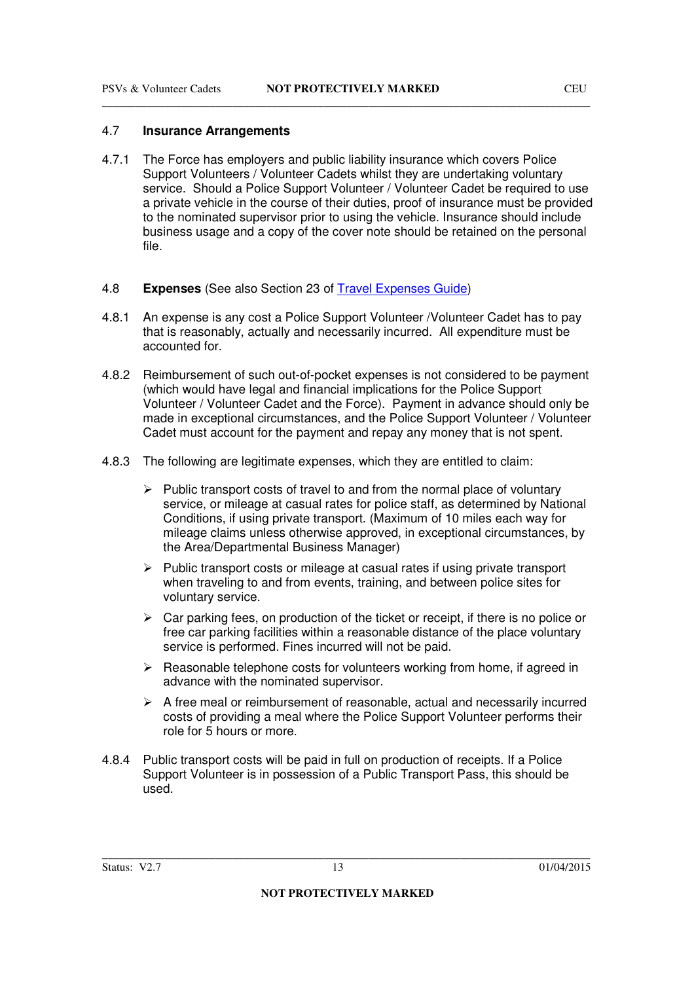#### 4.7 **Insurance Arrangements**

- 4.7.1 The Force has employers and public liability insurance which covers Police Support Volunteers / Volunteer Cadets whilst they are undertaking voluntary service. Should a Police Support Volunteer / Volunteer Cadet be required to use a private vehicle in the course of their duties, proof of insurance must be provided to the nominated supervisor prior to using the vehicle. Insurance should include business usage and a copy of the cover note should be retained on the personal file.
- 4.8 **Expenses** (See also Section 23 of Travel Expenses Guide)
- 4.8.1 An expense is any cost a Police Support Volunteer /Volunteer Cadet has to pay that is reasonably, actually and necessarily incurred. All expenditure must be accounted for.
- 4.8.2 Reimbursement of such out-of-pocket expenses is not considered to be payment (which would have legal and financial implications for the Police Support Volunteer / Volunteer Cadet and the Force). Payment in advance should only be made in exceptional circumstances, and the Police Support Volunteer / Volunteer Cadet must account for the payment and repay any money that is not spent.
- 4.8.3 The following are legitimate expenses, which they are entitled to claim:
	- $\triangleright$  Public transport costs of travel to and from the normal place of voluntary service, or mileage at casual rates for police staff, as determined by National Conditions, if using private transport. (Maximum of 10 miles each way for mileage claims unless otherwise approved, in exceptional circumstances, by the Area/Departmental Business Manager)
	- $\triangleright$  Public transport costs or mileage at casual rates if using private transport when traveling to and from events, training, and between police sites for voluntary service.
	- $\triangleright$  Car parking fees, on production of the ticket or receipt, if there is no police or free car parking facilities within a reasonable distance of the place voluntary service is performed. Fines incurred will not be paid.
	- $\triangleright$  Reasonable telephone costs for volunteers working from home, if agreed in advance with the nominated supervisor.
	- $\triangleright$  A free meal or reimbursement of reasonable, actual and necessarily incurred costs of providing a meal where the Police Support Volunteer performs their role for 5 hours or more.
- 4.8.4 Public transport costs will be paid in full on production of receipts. If a Police Support Volunteer is in possession of a Public Transport Pass, this should be used.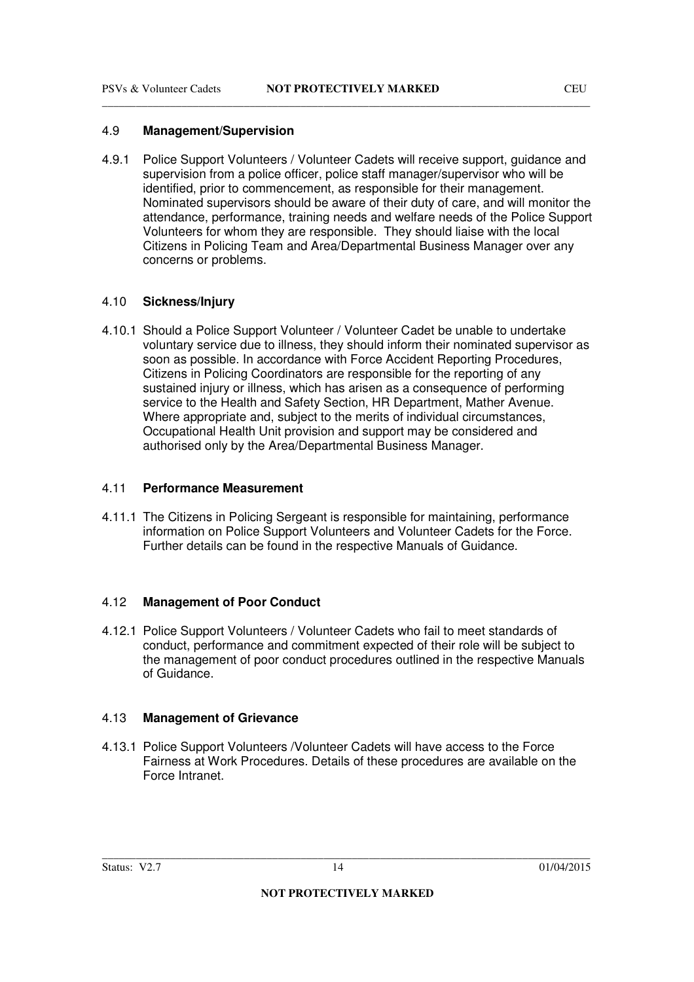#### 4.9 **Management/Supervision**

4.9.1 Police Support Volunteers / Volunteer Cadets will receive support, guidance and supervision from a police officer, police staff manager/supervisor who will be identified, prior to commencement, as responsible for their management. Nominated supervisors should be aware of their duty of care, and will monitor the attendance, performance, training needs and welfare needs of the Police Support Volunteers for whom they are responsible. They should liaise with the local Citizens in Policing Team and Area/Departmental Business Manager over any concerns or problems.

#### 4.10 **Sickness/Injury**

4.10.1 Should a Police Support Volunteer / Volunteer Cadet be unable to undertake voluntary service due to illness, they should inform their nominated supervisor as soon as possible. In accordance with Force Accident Reporting Procedures, Citizens in Policing Coordinators are responsible for the reporting of any sustained injury or illness, which has arisen as a consequence of performing service to the Health and Safety Section, HR Department, Mather Avenue. Where appropriate and, subject to the merits of individual circumstances, Occupational Health Unit provision and support may be considered and authorised only by the Area/Departmental Business Manager.

#### 4.11 **Performance Measurement**

4.11.1 The Citizens in Policing Sergeant is responsible for maintaining, performance information on Police Support Volunteers and Volunteer Cadets for the Force. Further details can be found in the respective Manuals of Guidance.

#### 4.12 **Management of Poor Conduct**

4.12.1 Police Support Volunteers / Volunteer Cadets who fail to meet standards of conduct, performance and commitment expected of their role will be subject to the management of poor conduct procedures outlined in the respective Manuals of Guidance.

#### 4.13 **Management of Grievance**

4.13.1 Police Support Volunteers /Volunteer Cadets will have access to the Force Fairness at Work Procedures. Details of these procedures are available on the Force Intranet.